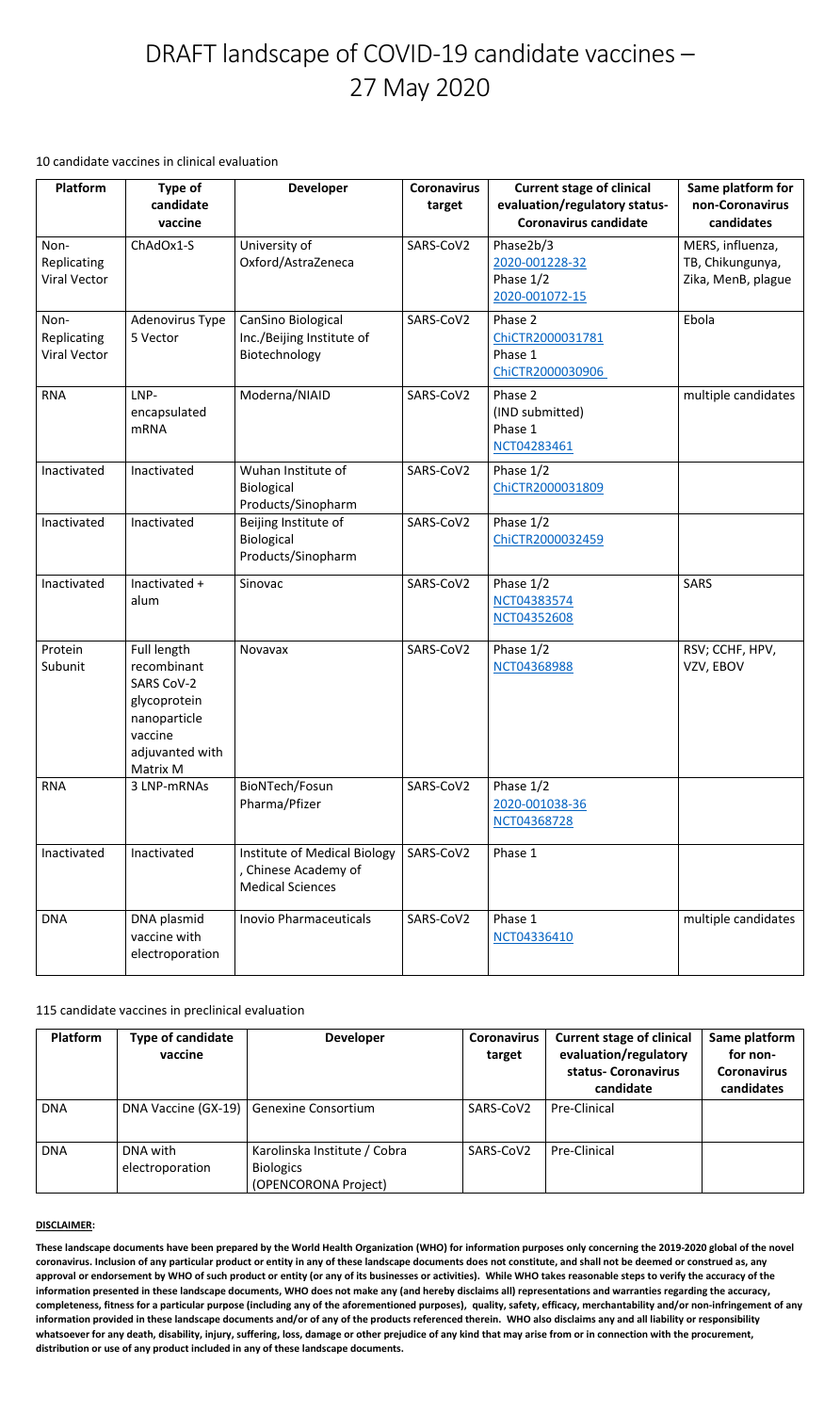**These landscape documents have been prepared by the World Health Organization (WHO) for information purposes only concerning the 2019-2020 global of the novel coronavirus. Inclusion of any particular product or entity in any of these landscape documents does not constitute, and shall not be deemed or construed as, any approval or endorsement by WHO of such product or entity (or any of its businesses or activities). While WHO takes reasonable steps to verify the accuracy of the information presented in these landscape documents, WHO does not make any (and hereby disclaims all) representations and warranties regarding the accuracy, completeness, fitness for a particular purpose (including any of the aforementioned purposes), quality, safety, efficacy, merchantability and/or non-infringement of any information provided in these landscape documents and/or of any of the products referenced therein. WHO also disclaims any and all liability or responsibility whatsoever for any death, disability, injury, suffering, loss, damage or other prejudice of any kind that may arise from or in connection with the procurement, distribution or use of any product included in any of these landscape documents.** 

# DRAFT landscape of COVID-19 candidate vaccines – 27 May 2020

10 candidate vaccines in clinical evaluation

115 candidate vaccines in preclinical evaluation

| <b>Platform</b>                            | Type of<br>candidate<br>vaccine                                                                                           | <b>Developer</b>                                                                | <b>Coronavirus</b><br>target | <b>Current stage of clinical</b><br>evaluation/regulatory status-<br><b>Coronavirus candidate</b> | Same platform for<br>non-Coronavirus<br>candidates         |
|--------------------------------------------|---------------------------------------------------------------------------------------------------------------------------|---------------------------------------------------------------------------------|------------------------------|---------------------------------------------------------------------------------------------------|------------------------------------------------------------|
| Non-<br>Replicating<br><b>Viral Vector</b> | ChAdOx1-S                                                                                                                 | University of<br>Oxford/AstraZeneca                                             | SARS-CoV2                    | Phase2b/3<br>2020-001228-32<br>Phase $1/2$<br>2020-001072-15                                      | MERS, influenza,<br>TB, Chikungunya,<br>Zika, MenB, plague |
| Non-<br>Replicating<br><b>Viral Vector</b> | Adenovirus Type<br>5 Vector                                                                                               | CanSino Biological<br>Inc./Beijing Institute of<br>Biotechnology                | SARS-CoV2                    | Phase 2<br>ChiCTR2000031781<br>Phase 1<br>ChiCTR2000030906                                        | Ebola                                                      |
| <b>RNA</b>                                 | LNP-<br>encapsulated<br><b>mRNA</b>                                                                                       | Moderna/NIAID                                                                   | SARS-CoV2                    | Phase 2<br>(IND submitted)<br>Phase 1<br>NCT04283461                                              | multiple candidates                                        |
| Inactivated                                | Inactivated                                                                                                               | Wuhan Institute of<br>Biological<br>Products/Sinopharm                          | SARS-CoV2                    | Phase 1/2<br>ChiCTR2000031809                                                                     |                                                            |
| Inactivated                                | Inactivated                                                                                                               | Beijing Institute of<br>Biological<br>Products/Sinopharm                        | SARS-CoV2                    | Phase $1/2$<br>ChiCTR2000032459                                                                   |                                                            |
| Inactivated                                | Inactivated +<br>alum                                                                                                     | Sinovac                                                                         | SARS-CoV2                    | Phase 1/2<br>NCT04383574<br>NCT04352608                                                           | <b>SARS</b>                                                |
| Protein<br>Subunit                         | Full length<br>recombinant<br><b>SARS CoV-2</b><br>glycoprotein<br>nanoparticle<br>vaccine<br>adjuvanted with<br>Matrix M | <b>Novavax</b>                                                                  | SARS-CoV2                    | Phase 1/2<br>NCT04368988                                                                          | RSV; CCHF, HPV,<br>VZV, EBOV                               |
| <b>RNA</b>                                 | 3 LNP-mRNAs                                                                                                               | BioNTech/Fosun<br>Pharma/Pfizer                                                 | SARS-CoV2                    | Phase $1/2$<br>2020-001038-36<br>NCT04368728                                                      |                                                            |
| Inactivated                                | Inactivated                                                                                                               | Institute of Medical Biology<br>, Chinese Academy of<br><b>Medical Sciences</b> | SARS-CoV2                    | Phase 1                                                                                           |                                                            |
| <b>DNA</b>                                 | DNA plasmid<br>vaccine with<br>electroporation                                                                            | <b>Inovio Pharmaceuticals</b>                                                   | SARS-CoV2                    | Phase 1<br>NCT04336410                                                                            | multiple candidates                                        |

| Platform   | <b>Type of candidate</b><br>vaccine | <b>Developer</b>                                                         | <b>Coronavirus</b><br>target | <b>Current stage of clinical</b><br>evaluation/regulatory<br>status- Coronavirus<br>candidate | Same platform<br>for non-<br><b>Coronavirus</b><br>candidates |
|------------|-------------------------------------|--------------------------------------------------------------------------|------------------------------|-----------------------------------------------------------------------------------------------|---------------------------------------------------------------|
| <b>DNA</b> | DNA Vaccine (GX-19)                 | <b>Genexine Consortium</b>                                               | SARS-CoV2                    | <b>Pre-Clinical</b>                                                                           |                                                               |
| <b>DNA</b> | DNA with<br>electroporation         | Karolinska Institute / Cobra<br><b>Biologics</b><br>(OPENCORONA Project) | SARS-CoV2                    | <b>Pre-Clinical</b>                                                                           |                                                               |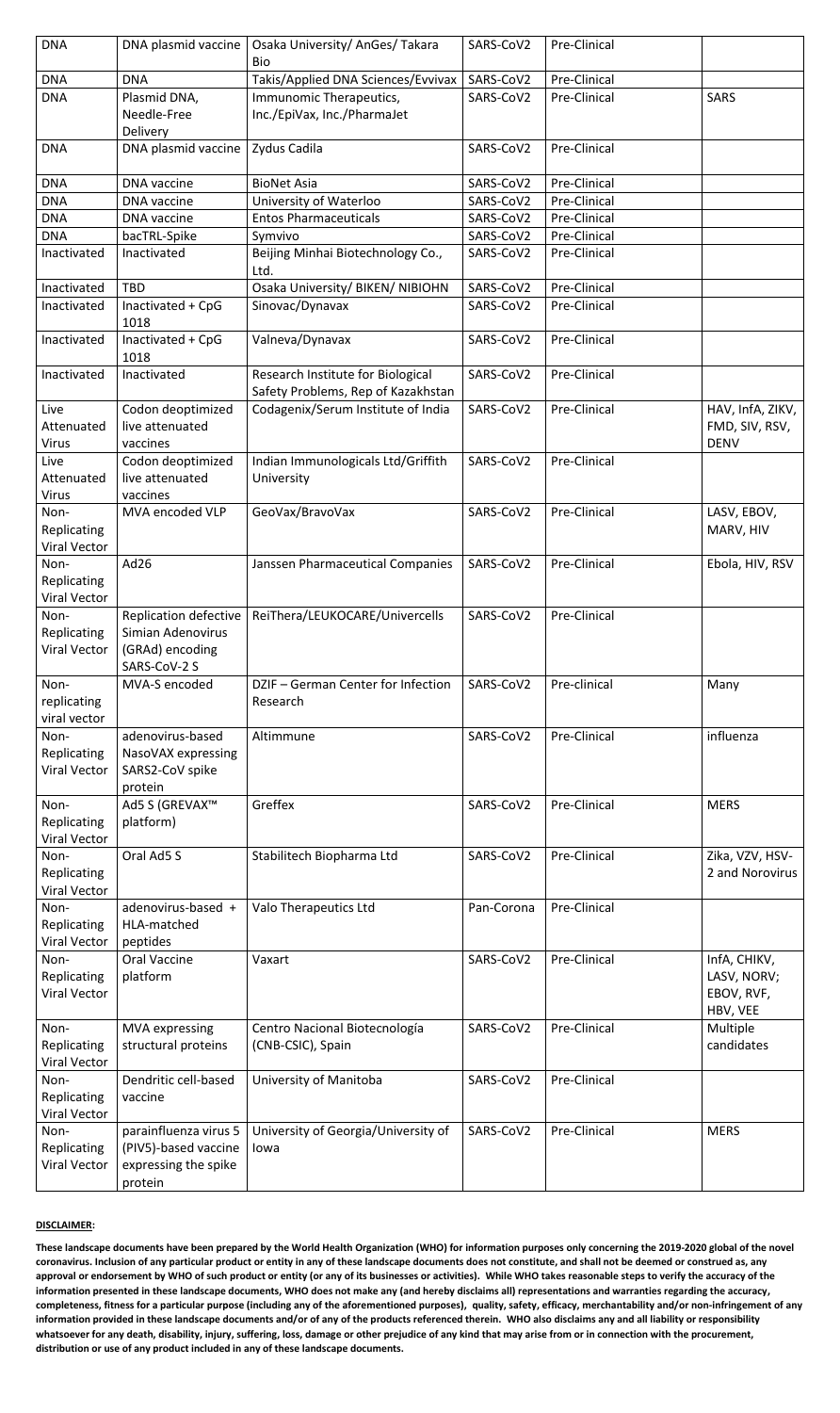| <b>DNA</b>          | DNA plasmid vaccine          | Osaka University/ AnGes/ Takara<br><b>Bio</b> | SARS-CoV2  | Pre-Clinical |                  |
|---------------------|------------------------------|-----------------------------------------------|------------|--------------|------------------|
| <b>DNA</b>          | <b>DNA</b>                   | Takis/Applied DNA Sciences/Evvivax            | SARS-CoV2  | Pre-Clinical |                  |
| <b>DNA</b>          | Plasmid DNA,                 | Immunomic Therapeutics,                       | SARS-CoV2  | Pre-Clinical | <b>SARS</b>      |
|                     | Needle-Free                  | Inc./EpiVax, Inc./PharmaJet                   |            |              |                  |
|                     |                              |                                               |            |              |                  |
|                     | Delivery                     |                                               |            |              |                  |
| <b>DNA</b>          | DNA plasmid vaccine          | Zydus Cadila                                  | SARS-CoV2  | Pre-Clinical |                  |
|                     |                              |                                               |            |              |                  |
| <b>DNA</b>          | <b>DNA</b> vaccine           | <b>BioNet Asia</b>                            | SARS-CoV2  | Pre-Clinical |                  |
| <b>DNA</b>          | <b>DNA</b> vaccine           | University of Waterloo                        | SARS-CoV2  | Pre-Clinical |                  |
| <b>DNA</b>          | <b>DNA</b> vaccine           | <b>Entos Pharmaceuticals</b>                  | SARS-CoV2  | Pre-Clinical |                  |
| <b>DNA</b>          | bacTRL-Spike                 | Symvivo                                       | SARS-CoV2  | Pre-Clinical |                  |
|                     |                              |                                               |            |              |                  |
| Inactivated         | Inactivated                  | Beijing Minhai Biotechnology Co.,             | SARS-CoV2  | Pre-Clinical |                  |
|                     |                              | Ltd.                                          |            |              |                  |
| Inactivated         | <b>TBD</b>                   | Osaka University/ BIKEN/ NIBIOHN              | SARS-CoV2  | Pre-Clinical |                  |
| Inactivated         | Inactivated + CpG            | Sinovac/Dynavax                               | SARS-CoV2  | Pre-Clinical |                  |
|                     | 1018                         |                                               |            |              |                  |
| Inactivated         | Inactivated + CpG            | Valneva/Dynavax                               | SARS-CoV2  | Pre-Clinical |                  |
|                     | 1018                         |                                               |            |              |                  |
| Inactivated         | Inactivated                  | Research Institute for Biological             | SARS-CoV2  | Pre-Clinical |                  |
|                     |                              | Safety Problems, Rep of Kazakhstan            |            |              |                  |
|                     |                              |                                               |            |              |                  |
| Live                | Codon deoptimized            | Codagenix/Serum Institute of India            | SARS-CoV2  | Pre-Clinical | HAV, InfA, ZIKV, |
| Attenuated          | live attenuated              |                                               |            |              | FMD, SIV, RSV,   |
| <b>Virus</b>        | vaccines                     |                                               |            |              | <b>DENV</b>      |
| Live                | Codon deoptimized            | Indian Immunologicals Ltd/Griffith            | SARS-CoV2  | Pre-Clinical |                  |
| Attenuated          | live attenuated              | University                                    |            |              |                  |
| <b>Virus</b>        | vaccines                     |                                               |            |              |                  |
| Non-                | MVA encoded VLP              | GeoVax/BravoVax                               | SARS-CoV2  | Pre-Clinical | LASV, EBOV,      |
| Replicating         |                              |                                               |            |              | MARV, HIV        |
| <b>Viral Vector</b> |                              |                                               |            |              |                  |
|                     |                              |                                               |            | Pre-Clinical |                  |
| Non-                | Ad26                         | Janssen Pharmaceutical Companies              | SARS-CoV2  |              | Ebola, HIV, RSV  |
| <b>Replicating</b>  |                              |                                               |            |              |                  |
| <b>Viral Vector</b> |                              |                                               |            |              |                  |
| Non-                | <b>Replication defective</b> | ReiThera/LEUKOCARE/Univercells                | SARS-CoV2  | Pre-Clinical |                  |
| Replicating         | Simian Adenovirus            |                                               |            |              |                  |
| <b>Viral Vector</b> | (GRAd) encoding              |                                               |            |              |                  |
|                     | SARS-CoV-2 S                 |                                               |            |              |                  |
| Non-                | MVA-S encoded                | DZIF - German Center for Infection            | SARS-CoV2  | Pre-clinical | Many             |
| replicating         |                              | Research                                      |            |              |                  |
| viral vector        |                              |                                               |            |              |                  |
| Non-                | adenovirus-based             | Altimmune                                     | SARS-CoV2  | Pre-Clinical | influenza        |
|                     |                              |                                               |            |              |                  |
| Replicating         | NasoVAX expressing           |                                               |            |              |                  |
| <b>Viral Vector</b> | SARS2-CoV spike              |                                               |            |              |                  |
|                     | protein                      |                                               |            |              |                  |
| Non-                | Ad5 S (GREVAX™               | Greffex                                       | SARS-CoV2  | Pre-Clinical | <b>MERS</b>      |
| Replicating         | platform)                    |                                               |            |              |                  |
| <b>Viral Vector</b> |                              |                                               |            |              |                  |
| Non-                | Oral Ad5 S                   | Stabilitech Biopharma Ltd                     | SARS-CoV2  | Pre-Clinical | Zika, VZV, HSV-  |
| <b>Replicating</b>  |                              |                                               |            |              | 2 and Norovirus  |
| <b>Viral Vector</b> |                              |                                               |            |              |                  |
| Non-                | adenovirus-based +           |                                               | Pan-Corona | Pre-Clinical |                  |
|                     |                              | Valo Therapeutics Ltd                         |            |              |                  |
| Replicating         | HLA-matched                  |                                               |            |              |                  |
| <b>Viral Vector</b> | peptides                     |                                               |            |              |                  |
| Non-                | <b>Oral Vaccine</b>          | Vaxart                                        | SARS-CoV2  | Pre-Clinical | InfA, CHIKV,     |
| Replicating         | platform                     |                                               |            |              | LASV, NORV;      |
| <b>Viral Vector</b> |                              |                                               |            |              | EBOV, RVF,       |
|                     |                              |                                               |            |              | HBV, VEE         |
| Non-                | <b>MVA</b> expressing        | Centro Nacional Biotecnología                 | SARS-CoV2  | Pre-Clinical | Multiple         |
| Replicating         | structural proteins          | (CNB-CSIC), Spain                             |            |              | candidates       |
| <b>Viral Vector</b> |                              |                                               |            |              |                  |
|                     |                              |                                               |            |              |                  |
| Non-                | Dendritic cell-based         | University of Manitoba                        | SARS-CoV2  | Pre-Clinical |                  |
| Replicating         | vaccine                      |                                               |            |              |                  |
| <b>Viral Vector</b> |                              |                                               |            |              |                  |
| Non-                | parainfluenza virus 5        | University of Georgia/University of           | SARS-CoV2  | Pre-Clinical | <b>MERS</b>      |
| Replicating         | (PIV5)-based vaccine         | lowa                                          |            |              |                  |
| <b>Viral Vector</b> | expressing the spike         |                                               |            |              |                  |
|                     | protein                      |                                               |            |              |                  |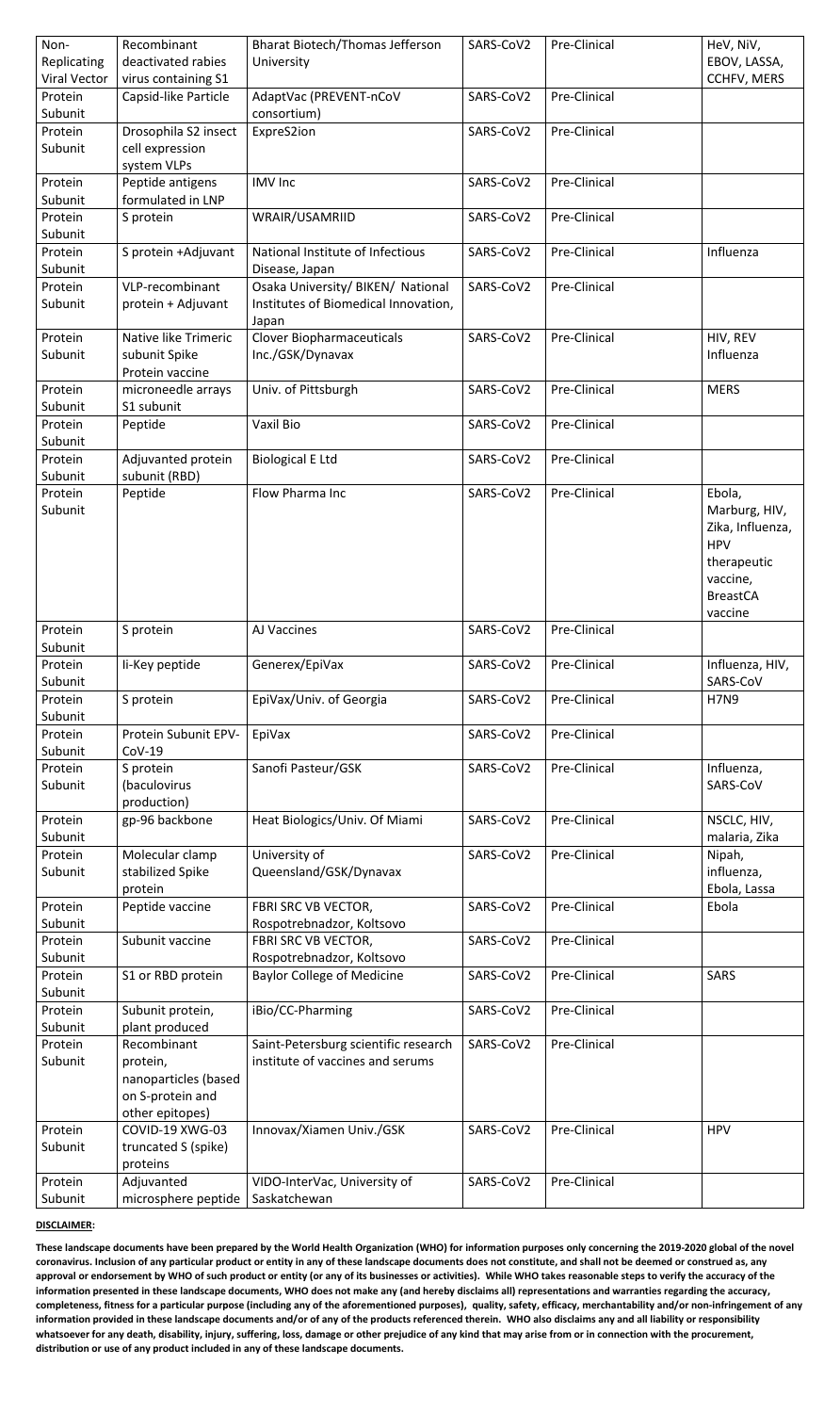| Non-<br>Replicating<br><b>Viral Vector</b> | Recombinant<br>deactivated rabies<br>virus containing S1                                                 | <b>Bharat Biotech/Thomas Jefferson</b><br>University                               | SARS-CoV2 | Pre-Clinical | HeV, NiV,<br>EBOV, LASSA,<br><b>CCHFV, MERS</b>                                                                    |
|--------------------------------------------|----------------------------------------------------------------------------------------------------------|------------------------------------------------------------------------------------|-----------|--------------|--------------------------------------------------------------------------------------------------------------------|
| Protein<br>Subunit                         | Capsid-like Particle                                                                                     | AdaptVac (PREVENT-nCoV<br>consortium)                                              | SARS-CoV2 | Pre-Clinical |                                                                                                                    |
| Protein<br>Subunit                         | Drosophila S2 insect<br>cell expression<br>system VLPs                                                   | ExpreS2ion                                                                         | SARS-CoV2 | Pre-Clinical |                                                                                                                    |
| Protein<br>Subunit                         | Peptide antigens<br>formulated in LNP                                                                    | <b>IMV</b> Inc                                                                     | SARS-CoV2 | Pre-Clinical |                                                                                                                    |
| Protein<br>Subunit                         | S protein                                                                                                | WRAIR/USAMRIID                                                                     | SARS-CoV2 | Pre-Clinical |                                                                                                                    |
| Protein<br>Subunit                         | S protein +Adjuvant                                                                                      | National Institute of Infectious<br>Disease, Japan                                 | SARS-CoV2 | Pre-Clinical | Influenza                                                                                                          |
| Protein<br>Subunit                         | VLP-recombinant<br>protein + Adjuvant                                                                    | Osaka University/ BIKEN/ National<br>Institutes of Biomedical Innovation,<br>Japan | SARS-CoV2 | Pre-Clinical |                                                                                                                    |
| Protein<br>Subunit                         | <b>Native like Trimeric</b><br>subunit Spike<br>Protein vaccine                                          | <b>Clover Biopharmaceuticals</b><br>Inc./GSK/Dynavax                               | SARS-CoV2 | Pre-Clinical | HIV, REV<br>Influenza                                                                                              |
| Protein<br>Subunit                         | microneedle arrays<br>S1 subunit                                                                         | Univ. of Pittsburgh                                                                | SARS-CoV2 | Pre-Clinical | <b>MERS</b>                                                                                                        |
| Protein<br>Subunit                         | Peptide                                                                                                  | <b>Vaxil Bio</b>                                                                   | SARS-CoV2 | Pre-Clinical |                                                                                                                    |
| Protein                                    | Adjuvanted protein                                                                                       | <b>Biological E Ltd</b>                                                            | SARS-CoV2 | Pre-Clinical |                                                                                                                    |
| Subunit<br>Protein<br>Subunit              | subunit (RBD)<br>Peptide                                                                                 | Flow Pharma Inc                                                                    | SARS-CoV2 | Pre-Clinical | Ebola,<br>Marburg, HIV,<br>Zika, Influenza,<br><b>HPV</b><br>therapeutic<br>vaccine,<br><b>BreastCA</b><br>vaccine |
|                                            |                                                                                                          |                                                                                    |           |              |                                                                                                                    |
| Protein                                    | S protein                                                                                                | AJ Vaccines                                                                        | SARS-CoV2 | Pre-Clinical |                                                                                                                    |
| Subunit<br>Protein<br>Subunit              | li-Key peptide                                                                                           | Generex/EpiVax                                                                     | SARS-CoV2 | Pre-Clinical | Influenza, HIV,<br>SARS-CoV                                                                                        |
| Protein                                    | S protein                                                                                                | EpiVax/Univ. of Georgia                                                            | SARS-CoV2 | Pre-Clinical | <b>H7N9</b>                                                                                                        |
| Subunit<br>Protein<br>Subunit              | Protein Subunit EPV-<br>$COV-19$                                                                         | EpiVax                                                                             | SARS-CoV2 | Pre-Clinical |                                                                                                                    |
| Protein<br>Subunit                         | S protein<br>(baculovirus                                                                                | Sanofi Pasteur/GSK                                                                 | SARS-CoV2 | Pre-Clinical | Influenza,<br>SARS-CoV                                                                                             |
| Protein                                    | production)<br>gp-96 backbone                                                                            | Heat Biologics/Univ. Of Miami                                                      | SARS-CoV2 | Pre-Clinical | NSCLC, HIV,                                                                                                        |
| Subunit<br>Protein<br>Subunit              | Molecular clamp<br>stabilized Spike<br>protein                                                           | University of<br>Queensland/GSK/Dynavax                                            | SARS-CoV2 | Pre-Clinical | malaria, Zika<br>Nipah,<br>influenza,<br>Ebola, Lassa                                                              |
| Protein<br>Subunit                         | Peptide vaccine                                                                                          | FBRI SRC VB VECTOR,<br>Rospotrebnadzor, Koltsovo                                   | SARS-CoV2 | Pre-Clinical | Ebola                                                                                                              |
| Protein<br>Subunit                         | Subunit vaccine                                                                                          | <b>FBRI SRC VB VECTOR,</b>                                                         | SARS-CoV2 | Pre-Clinical |                                                                                                                    |
| Protein                                    | S1 or RBD protein                                                                                        | Rospotrebnadzor, Koltsovo<br><b>Baylor College of Medicine</b>                     | SARS-CoV2 | Pre-Clinical | <b>SARS</b>                                                                                                        |
| Subunit<br>Protein                         | Subunit protein,                                                                                         | iBio/CC-Pharming                                                                   | SARS-CoV2 | Pre-Clinical |                                                                                                                    |
| Subunit<br>Protein<br>Subunit              | plant produced<br>Recombinant<br>protein,<br>nanoparticles (based<br>on S-protein and<br>other epitopes) | Saint-Petersburg scientific research<br>institute of vaccines and serums           | SARS-CoV2 | Pre-Clinical |                                                                                                                    |
| Protein<br>Subunit                         | <b>COVID-19 XWG-03</b><br>truncated S (spike)<br>proteins                                                | Innovax/Xiamen Univ./GSK                                                           | SARS-CoV2 | Pre-Clinical | <b>HPV</b>                                                                                                         |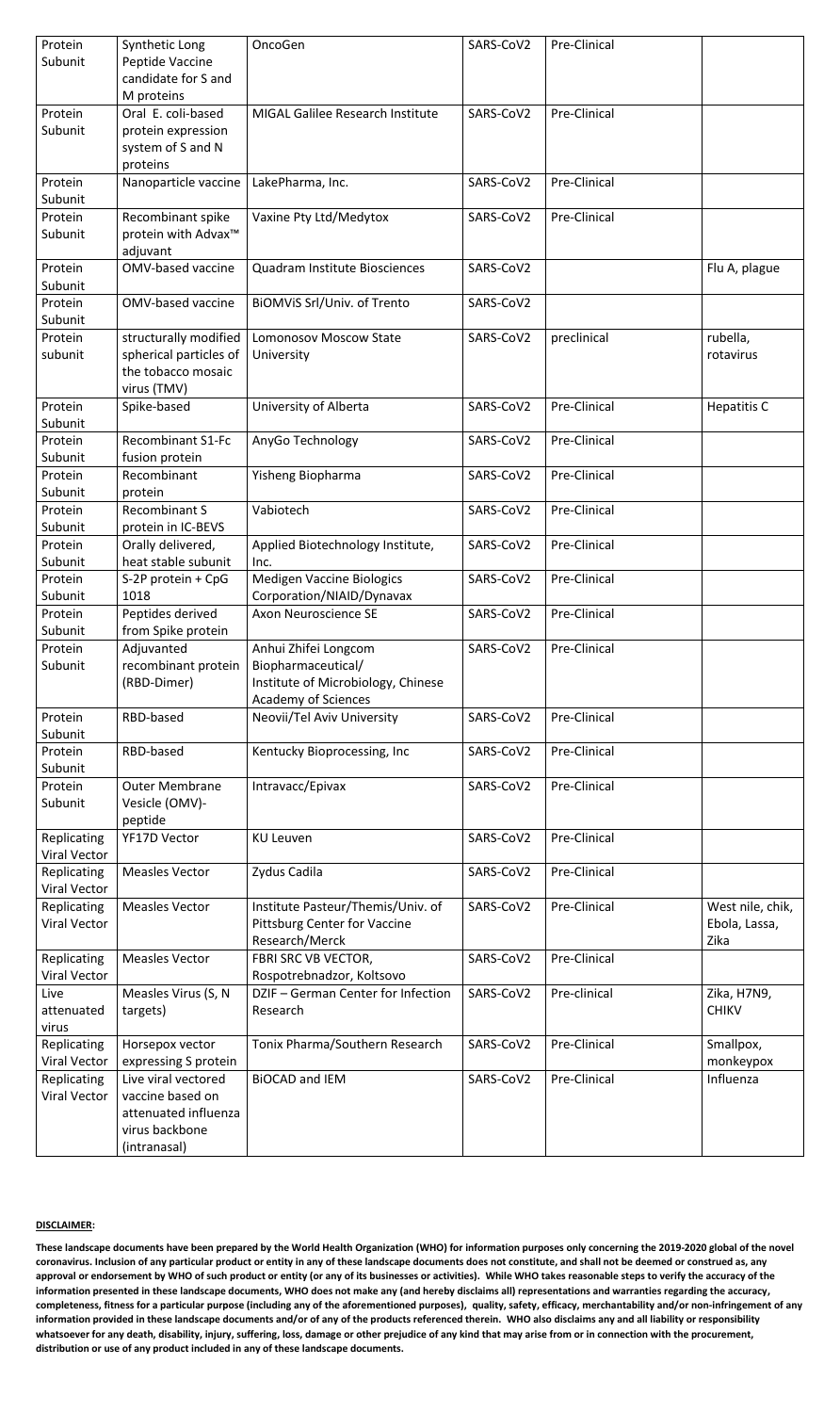| Protein             | Synthetic Long                  | OncoGen                                 | SARS-CoV2 | Pre-Clinical        |                  |
|---------------------|---------------------------------|-----------------------------------------|-----------|---------------------|------------------|
| Subunit             | Peptide Vaccine                 |                                         |           |                     |                  |
|                     | candidate for S and             |                                         |           |                     |                  |
|                     | M proteins                      |                                         |           |                     |                  |
| Protein             | Oral E. coli-based              | <b>MIGAL Galilee Research Institute</b> | SARS-CoV2 | <b>Pre-Clinical</b> |                  |
| Subunit             | protein expression              |                                         |           |                     |                  |
|                     | system of S and N               |                                         |           |                     |                  |
|                     | proteins                        |                                         |           |                     |                  |
| Protein             | Nanoparticle vaccine            | LakePharma, Inc.                        | SARS-CoV2 | Pre-Clinical        |                  |
| Subunit             |                                 |                                         |           |                     |                  |
| Protein             | Recombinant spike               | Vaxine Pty Ltd/Medytox                  | SARS-CoV2 | Pre-Clinical        |                  |
| Subunit             | protein with Advax <sup>™</sup> |                                         |           |                     |                  |
|                     | adjuvant                        |                                         |           |                     |                  |
| Protein             | <b>OMV-based vaccine</b>        | <b>Quadram Institute Biosciences</b>    | SARS-CoV2 |                     | Flu A, plague    |
| Subunit             |                                 |                                         |           |                     |                  |
| Protein             | <b>OMV-based vaccine</b>        | BIOMVIS Srl/Univ. of Trento             | SARS-CoV2 |                     |                  |
| Subunit             |                                 |                                         |           |                     |                  |
| Protein             | structurally modified           | <b>Lomonosov Moscow State</b>           | SARS-CoV2 | preclinical         | rubella,         |
| subunit             | spherical particles of          | University                              |           |                     | rotavirus        |
|                     | the tobacco mosaic              |                                         |           |                     |                  |
|                     | virus (TMV)                     |                                         |           |                     |                  |
| Protein             | Spike-based                     | University of Alberta                   | SARS-CoV2 | Pre-Clinical        | Hepatitis C      |
| Subunit             |                                 |                                         |           |                     |                  |
| Protein             | <b>Recombinant S1-Fc</b>        | AnyGo Technology                        | SARS-CoV2 | Pre-Clinical        |                  |
| Subunit             | fusion protein                  |                                         |           |                     |                  |
| Protein             | Recombinant                     | Yisheng Biopharma                       | SARS-CoV2 | Pre-Clinical        |                  |
| Subunit             | protein                         |                                         |           |                     |                  |
| Protein             | <b>Recombinant S</b>            | Vabiotech                               | SARS-CoV2 | Pre-Clinical        |                  |
| Subunit             | protein in IC-BEVS              |                                         |           |                     |                  |
| Protein             | Orally delivered,               | Applied Biotechnology Institute,        | SARS-CoV2 | Pre-Clinical        |                  |
| Subunit             | heat stable subunit             | Inc.                                    |           |                     |                  |
| Protein             | S-2P protein + CpG              | <b>Medigen Vaccine Biologics</b>        | SARS-CoV2 | Pre-Clinical        |                  |
| Subunit             | 1018                            | Corporation/NIAID/Dynavax               |           |                     |                  |
| Protein             | Peptides derived                | <b>Axon Neuroscience SE</b>             | SARS-CoV2 | Pre-Clinical        |                  |
| Subunit             | from Spike protein              |                                         |           |                     |                  |
| Protein             | Adjuvanted                      | Anhui Zhifei Longcom                    | SARS-CoV2 | Pre-Clinical        |                  |
| Subunit             | recombinant protein             | Biopharmaceutical/                      |           |                     |                  |
|                     | (RBD-Dimer)                     | Institute of Microbiology, Chinese      |           |                     |                  |
|                     |                                 | <b>Academy of Sciences</b>              |           |                     |                  |
| Protein             | RBD-based                       | Neovii/Tel Aviv University              | SARS-CoV2 | Pre-Clinical        |                  |
| Subunit             |                                 |                                         |           |                     |                  |
| Protein             | RBD-based                       | Kentucky Bioprocessing, Inc             | SARS-CoV2 | <b>Pre-Clinical</b> |                  |
| Subunit             |                                 |                                         |           |                     |                  |
| Protein             | <b>Outer Membrane</b>           | Intravacc/Epivax                        | SARS-CoV2 | Pre-Clinical        |                  |
| Subunit             | Vesicle (OMV)-                  |                                         |           |                     |                  |
|                     | peptide                         |                                         |           |                     |                  |
| Replicating         | <b>YF17D Vector</b>             | <b>KU Leuven</b>                        | SARS-CoV2 | Pre-Clinical        |                  |
| <b>Viral Vector</b> |                                 |                                         |           |                     |                  |
| Replicating         | <b>Measles Vector</b>           | Zydus Cadila                            | SARS-CoV2 | Pre-Clinical        |                  |
| <b>Viral Vector</b> |                                 |                                         |           |                     |                  |
| Replicating         | <b>Measles Vector</b>           | Institute Pasteur/Themis/Univ. of       | SARS-CoV2 | Pre-Clinical        | West nile, chik, |
| Viral Vector        |                                 | <b>Pittsburg Center for Vaccine</b>     |           |                     | Ebola, Lassa,    |
|                     |                                 | Research/Merck                          |           |                     | Zika             |
| Replicating         | <b>Measles Vector</b>           | FBRI SRC VB VECTOR,                     | SARS-CoV2 | Pre-Clinical        |                  |
| <b>Viral Vector</b> |                                 | Rospotrebnadzor, Koltsovo               |           |                     |                  |
| Live                | Measles Virus (S, N             | DZIF - German Center for Infection      | SARS-CoV2 | Pre-clinical        | Zika, H7N9,      |
| attenuated          | targets)                        | Research                                |           |                     | <b>CHIKV</b>     |
| virus               |                                 |                                         |           |                     |                  |
| Replicating         | Horsepox vector                 | Tonix Pharma/Southern Research          | SARS-CoV2 | Pre-Clinical        | Smallpox,        |
| <b>Viral Vector</b> | expressing S protein            |                                         |           |                     | monkeypox        |
| Replicating         | Live viral vectored             | <b>BIOCAD and IEM</b>                   | SARS-CoV2 | Pre-Clinical        | Influenza        |
| <b>Viral Vector</b> | vaccine based on                |                                         |           |                     |                  |
|                     | attenuated influenza            |                                         |           |                     |                  |
|                     | virus backbone                  |                                         |           |                     |                  |
|                     | (intranasal)                    |                                         |           |                     |                  |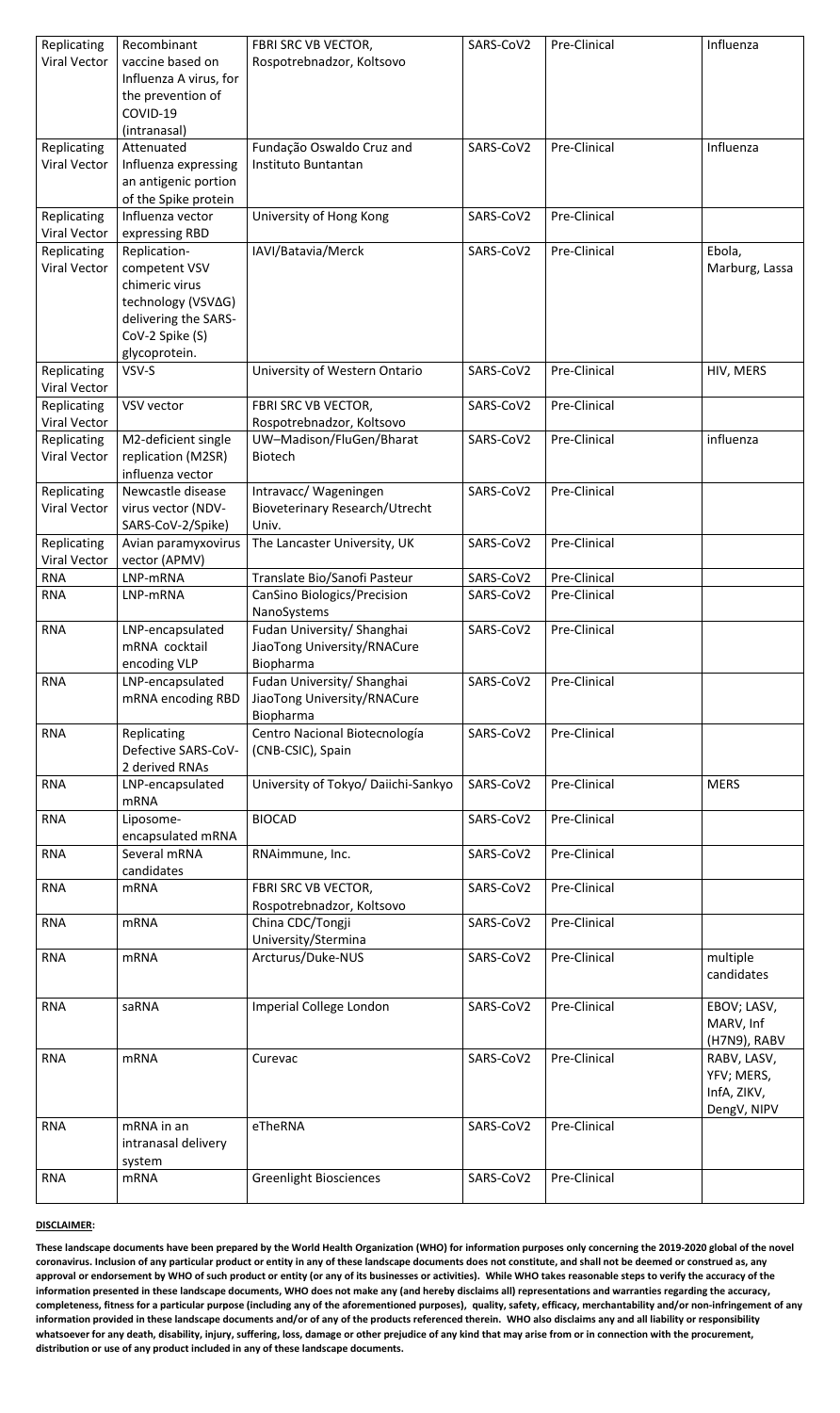| Replicating<br><b>Viral Vector</b> | Recombinant<br>vaccine based on<br>Influenza A virus, for<br>the prevention of<br>COVID-19<br>(intranasal)                        | FBRI SRC VB VECTOR,<br>Rospotrebnadzor, Koltsovo                        | SARS-CoV2 | Pre-Clinical | Influenza                                               |
|------------------------------------|-----------------------------------------------------------------------------------------------------------------------------------|-------------------------------------------------------------------------|-----------|--------------|---------------------------------------------------------|
| Replicating<br><b>Viral Vector</b> | Attenuated<br>Influenza expressing<br>an antigenic portion<br>of the Spike protein                                                | Fundação Oswaldo Cruz and<br>Instituto Buntantan                        | SARS-CoV2 | Pre-Clinical | Influenza                                               |
| Replicating<br><b>Viral Vector</b> | Influenza vector<br>expressing RBD                                                                                                | University of Hong Kong                                                 | SARS-CoV2 | Pre-Clinical |                                                         |
| Replicating<br><b>Viral Vector</b> | Replication-<br>competent VSV<br>chimeric virus<br>technology (VSV∆G)<br>delivering the SARS-<br>CoV-2 Spike (S)<br>glycoprotein. | IAVI/Batavia/Merck                                                      | SARS-CoV2 | Pre-Clinical | Ebola,<br>Marburg, Lassa                                |
| Replicating<br><b>Viral Vector</b> | VSV-S                                                                                                                             | University of Western Ontario                                           | SARS-CoV2 | Pre-Clinical | HIV, MERS                                               |
| Replicating<br><b>Viral Vector</b> | VSV vector                                                                                                                        | FBRI SRC VB VECTOR,<br>Rospotrebnadzor, Koltsovo                        | SARS-CoV2 | Pre-Clinical |                                                         |
| Replicating<br><b>Viral Vector</b> | M2-deficient single<br>replication (M2SR)<br>influenza vector                                                                     | UW-Madison/FluGen/Bharat<br><b>Biotech</b>                              | SARS-CoV2 | Pre-Clinical | influenza                                               |
| Replicating<br><b>Viral Vector</b> | Newcastle disease<br>virus vector (NDV-<br>SARS-CoV-2/Spike)                                                                      | Intravacc/ Wageningen<br><b>Bioveterinary Research/Utrecht</b><br>Univ. | SARS-CoV2 | Pre-Clinical |                                                         |
| Replicating<br><b>Viral Vector</b> | Avian paramyxovirus<br>vector (APMV)                                                                                              | The Lancaster University, UK                                            | SARS-CoV2 | Pre-Clinical |                                                         |
| <b>RNA</b>                         | LNP-mRNA                                                                                                                          | Translate Bio/Sanofi Pasteur                                            | SARS-CoV2 | Pre-Clinical |                                                         |
| <b>RNA</b>                         | LNP-mRNA                                                                                                                          | CanSino Biologics/Precision<br>NanoSystems                              | SARS-CoV2 | Pre-Clinical |                                                         |
| <b>RNA</b>                         | LNP-encapsulated<br>mRNA cocktail<br>encoding VLP                                                                                 | Fudan University/ Shanghai<br>JiaoTong University/RNACure<br>Biopharma  | SARS-CoV2 | Pre-Clinical |                                                         |
| <b>RNA</b>                         | LNP-encapsulated<br>mRNA encoding RBD                                                                                             | Fudan University/ Shanghai<br>JiaoTong University/RNACure<br>Biopharma  | SARS-CoV2 | Pre-Clinical |                                                         |
| <b>RNA</b>                         | Replicating<br>Defective SARS-CoV-<br>2 derived RNAs                                                                              | Centro Nacional Biotecnología<br>(CNB-CSIC), Spain                      | SARS-CoV2 | Pre-Clinical |                                                         |
| <b>RNA</b>                         | LNP-encapsulated<br><b>mRNA</b>                                                                                                   | University of Tokyo/ Daiichi-Sankyo                                     | SARS-CoV2 | Pre-Clinical | <b>MERS</b>                                             |
| <b>RNA</b>                         | Liposome-<br>encapsulated mRNA                                                                                                    | <b>BIOCAD</b>                                                           | SARS-CoV2 | Pre-Clinical |                                                         |
| <b>RNA</b>                         | Several mRNA<br>candidates                                                                                                        | RNAimmune, Inc.                                                         | SARS-CoV2 | Pre-Clinical |                                                         |
| <b>RNA</b>                         | <b>mRNA</b>                                                                                                                       | FBRI SRC VB VECTOR,<br>Rospotrebnadzor, Koltsovo                        | SARS-CoV2 | Pre-Clinical |                                                         |
| <b>RNA</b>                         | <b>mRNA</b>                                                                                                                       | China CDC/Tongji<br>University/Stermina                                 | SARS-CoV2 | Pre-Clinical |                                                         |
| <b>RNA</b>                         | <b>mRNA</b>                                                                                                                       | Arcturus/Duke-NUS                                                       | SARS-CoV2 | Pre-Clinical | multiple<br>candidates                                  |
| <b>RNA</b>                         | saRNA                                                                                                                             | <b>Imperial College London</b>                                          | SARS-CoV2 | Pre-Clinical | EBOV; LASV,<br>MARV, Inf<br>(H7N9), RABV                |
| <b>RNA</b>                         | <b>mRNA</b>                                                                                                                       | Curevac                                                                 | SARS-CoV2 | Pre-Clinical | RABV, LASV,<br>YFV; MERS,<br>InfA, ZIKV,<br>DengV, NIPV |
| <b>RNA</b>                         | mRNA in an<br>intranasal delivery<br>system                                                                                       | eTheRNA                                                                 | SARS-CoV2 | Pre-Clinical |                                                         |
| <b>RNA</b>                         | <b>mRNA</b>                                                                                                                       | <b>Greenlight Biosciences</b>                                           | SARS-CoV2 | Pre-Clinical |                                                         |